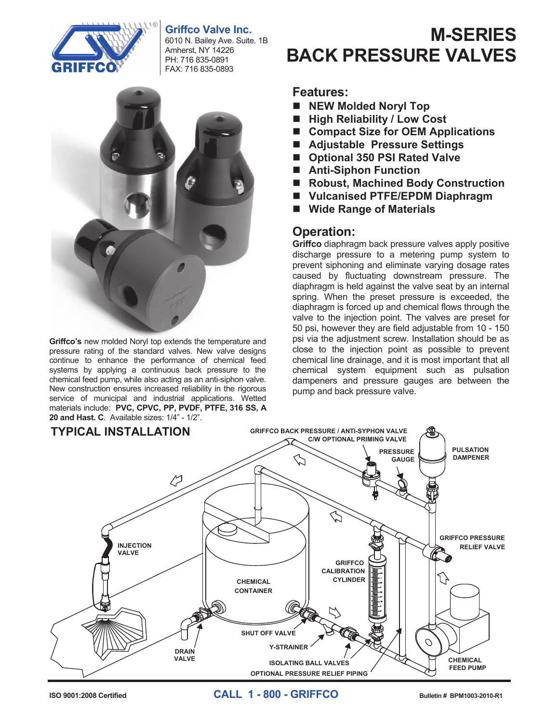# **Griffco Valve Inc.**



6010 N. Bailey Ave. Suite. 1B Amherst, NY 14226 PH: 716 835-0891 FAX: 716 835-0893



**Griffco's** new molded Noryl top extends the temperature and **Prince 3** hew medded Noryr top extends the temperature and pressure rating of the standard valves. New valve designs pressure ruling or the standard varves. New varve designs continue to enhance the performance of chemical feed continue to emiance the performance of chemical feed systems by applying a continuous back pressure to the systems by applying a committed back pressure to the chemical feed pump, while also acting as an anti-siphon valve. enchical iccu pamp, while also deality as an and siphon valve.<br>New construction ensures increased reliability in the rigorous service of municipal and industrial applications. Wetted materials include: **PVC, CPVC, PP, PVDF, PTFE, Halar, 316 Excretion of international and material approached.** Welled materials include: **PVC, CPVC, PP, PVDF, PTFE, 316 SS, A 20 and Hast. C**. Available sizes: 1/4" - 1/2".

#### **M-SERIES BACK PRESSURE VALVES BEALES**<br>Fizilize **BACK PRESSURE VALVES**

### **Features:**

- **NEW Molded Noryl Top**
- High Reliability / Low Cost
- Compact Size for OEM Applications
- Adjustable Pressure Settings
- Optional 350 PSI Rated Valve
- Anti-Siphon Function
- Robust, Machined Body Construction
- Vulcanised PTFE/EPDM Diaphragm
- Wide Range of Materials **Wide Range of Materials**

# **Operation:**

**Griffco** diaphragm back pressure valves apply positive discharge pressure to a metering pump system to prevent siphoning and eliminate varying dosage rates caused by fluctuating downstream pressure. The diaphragm is held against the valve seat by an internal diaphragm is held against the valve seat by an internal<br>spring. When the preset pressure is exceeded, the diaphragm is forced up and chemical flows through the valve to the injection point. The valves are preset for 50 psi, however they are field adjustable from 10 - 150 psi via the adjustment screw. Installation should be as close to the injection point as possible to prevent chemical line drainage, and it is most important that all chemical system equipment such as pulsation dampeners and pressure gauges are between the pump and back pressure valve. pump and back pressure valve.



**ISO 9001:2008 Certified CALL 1 - 800 - GRIFFCO Bulletin # BPM1003-2010-R1 CALL 1 - 800 - GRIFFCO Bulletin # BPG1003-2010R1**